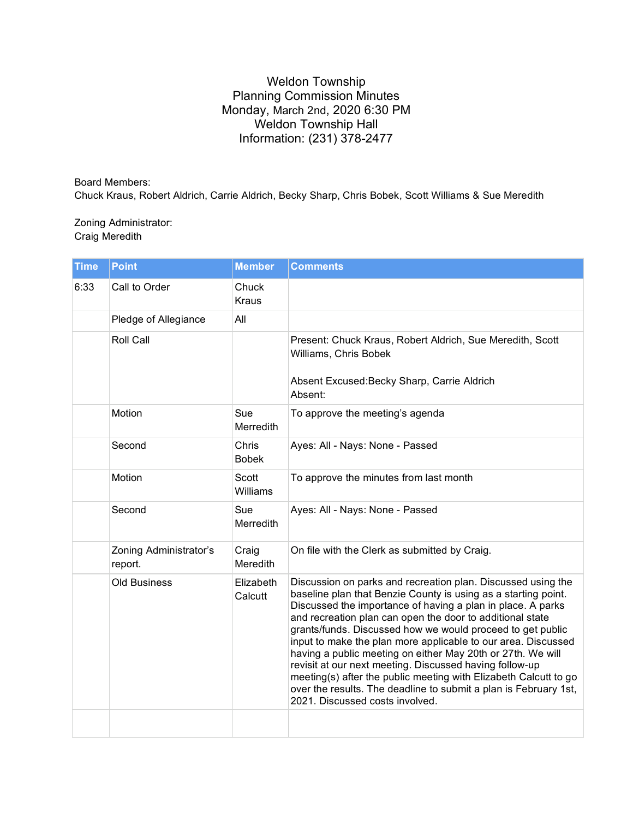## Weldon Township Planning Commission Minutes Monday, March 2nd, 2020 6:30 PM Weldon Township Hall Information: (231) 378-2477

Board Members: Chuck Kraus, Robert Aldrich, Carrie Aldrich, Becky Sharp, Chris Bobek, Scott Williams & Sue Meredith

## Zoning Administrator: Craig Meredith

| <b>Time</b> | <b>Point</b>                      | <b>Member</b>            | <b>Comments</b>                                                                                                                                                                                                                                                                                                                                                                                                                                                                                                                                                                                                                                                                                |
|-------------|-----------------------------------|--------------------------|------------------------------------------------------------------------------------------------------------------------------------------------------------------------------------------------------------------------------------------------------------------------------------------------------------------------------------------------------------------------------------------------------------------------------------------------------------------------------------------------------------------------------------------------------------------------------------------------------------------------------------------------------------------------------------------------|
| 6:33        | Call to Order                     | Chuck<br><b>Kraus</b>    |                                                                                                                                                                                                                                                                                                                                                                                                                                                                                                                                                                                                                                                                                                |
|             | Pledge of Allegiance              | All                      |                                                                                                                                                                                                                                                                                                                                                                                                                                                                                                                                                                                                                                                                                                |
|             | <b>Roll Call</b>                  |                          | Present: Chuck Kraus, Robert Aldrich, Sue Meredith, Scott<br>Williams, Chris Bobek<br>Absent Excused: Becky Sharp, Carrie Aldrich<br>Absent:                                                                                                                                                                                                                                                                                                                                                                                                                                                                                                                                                   |
|             | Motion                            | Sue<br>Merredith         | To approve the meeting's agenda                                                                                                                                                                                                                                                                                                                                                                                                                                                                                                                                                                                                                                                                |
|             | Second                            | Chris<br><b>Bobek</b>    | Ayes: All - Nays: None - Passed                                                                                                                                                                                                                                                                                                                                                                                                                                                                                                                                                                                                                                                                |
|             | Motion                            | <b>Scott</b><br>Williams | To approve the minutes from last month                                                                                                                                                                                                                                                                                                                                                                                                                                                                                                                                                                                                                                                         |
|             | Second                            | Sue<br>Merredith         | Ayes: All - Nays: None - Passed                                                                                                                                                                                                                                                                                                                                                                                                                                                                                                                                                                                                                                                                |
|             | Zoning Administrator's<br>report. | Craig<br>Meredith        | On file with the Clerk as submitted by Craig.                                                                                                                                                                                                                                                                                                                                                                                                                                                                                                                                                                                                                                                  |
|             | <b>Old Business</b>               | Elizabeth<br>Calcutt     | Discussion on parks and recreation plan. Discussed using the<br>baseline plan that Benzie County is using as a starting point.<br>Discussed the importance of having a plan in place. A parks<br>and recreation plan can open the door to additional state<br>grants/funds. Discussed how we would proceed to get public<br>input to make the plan more applicable to our area. Discussed<br>having a public meeting on either May 20th or 27th. We will<br>revisit at our next meeting. Discussed having follow-up<br>meeting(s) after the public meeting with Elizabeth Calcutt to go<br>over the results. The deadline to submit a plan is February 1st,<br>2021. Discussed costs involved. |
|             |                                   |                          |                                                                                                                                                                                                                                                                                                                                                                                                                                                                                                                                                                                                                                                                                                |